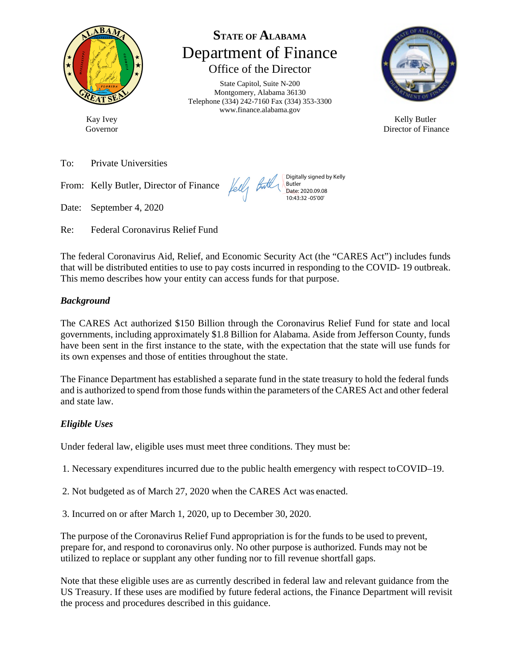

Governor

Kay Ivey

**STATE OF ALABAMA** Department of Finance Office of the Director

State Capitol, Suite N-200 Montgomery, Alabama 36130 Telephone (334) 242-7160 Fax (334) 353-3300 www.finance.alabama.gov

Digitally signed by Kelly

Butler Date: 2020.09.08 10:43:32 -05'00'



Kelly Butler Director of Finance

To: Private Universities

From: Kelly Butler, Director of Finance

Date: September 4, 2020

Re: Federal Coronavirus Relief Fund

The federal Coronavirus Aid, Relief, and Economic Security Act (the "CARES Act") includes funds that will be distributed entities to use to pay costs incurred in responding to the COVID- 19 outbreak. This memo describes how your entity can access funds for that purpose.

Lelli

#### *Background*

The CARES Act authorized \$150 Billion through the Coronavirus Relief Fund for state and local governments, including approximately \$1.8 Billion for Alabama. Aside from Jefferson County, funds have been sent in the first instance to the state, with the expectation that the state will use funds for its own expenses and those of entities throughout the state.

The Finance Department has established a separate fund in the state treasury to hold the federal funds and is authorized to spend from those funds within the parameters of the CARES Act and other federal and state law.

#### *Eligible Uses*

Under federal law, eligible uses must meet three conditions. They must be:

- 1. Necessary expenditures incurred due to the public health emergency with respect to COVID–19.
- 2. Not budgeted as of March 27, 2020 when the CARES Act was enacted.
- 3. Incurred on or after March 1, 2020, up to December 30, 2020.

The purpose of the Coronavirus Relief Fund appropriation is for the funds to be used to prevent, prepare for, and respond to coronavirus only. No other purpose is authorized. Funds may not be utilized to replace or supplant any other funding nor to fill revenue shortfall gaps.

Note that these eligible uses are as currently described in federal law and relevant guidance from the US Treasury. If these uses are modified by future federal actions, the Finance Department will revisit the process and procedures described in this guidance.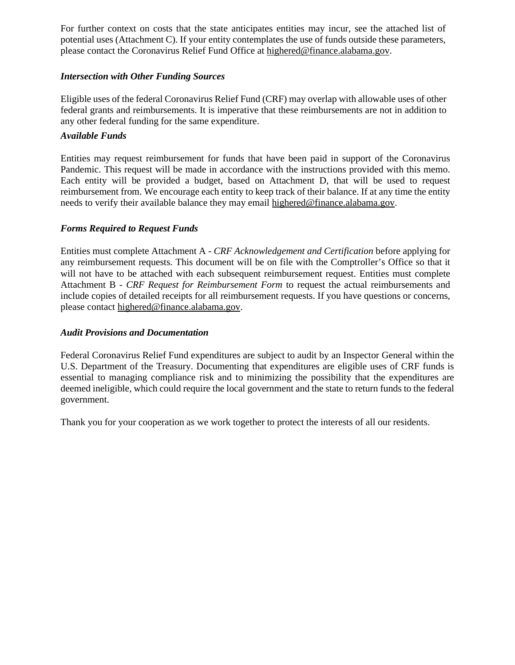For further context on costs that the state anticipates entities may incur, see the attached list of potential uses (Attachment C). If your entity contemplates the use of funds outside these parameters, please contact the Coronavirus Relief Fund Office at [highered@finance.alabama.gov.](mailto:highered@finance.alabama.gov)

#### *Intersection with Other Funding Sources*

Eligible uses of the federal Coronavirus Relief Fund (CRF) may overlap with allowable uses of other federal grants and reimbursements. It is imperative that these reimbursements are not in addition to any other federal funding for the same expenditure.

#### *Available Funds*

Entities may request reimbursement for funds that have been paid in support of the Coronavirus Pandemic. This request will be made in accordance with the instructions provided with this memo. Each entity will be provided a budget, based on Attachment D, that will be used to request reimbursement from. We encourage each entity to keep track of their balance. If at any time the entity needs to verify their available balance they may email [highered@finance.alabama.gov.](mailto:highered@finance.alabama.gov)

#### *Forms Required to Request Funds*

Entities must complete Attachment A - *CRF Acknowledgement and Certification* before applying for any reimbursement requests. This document will be on file with the Comptroller's Office so that it will not have to be attached with each subsequent reimbursement request. Entities must complete Attachment B - *CRF Request for Reimbursement Form* to request the actual reimbursements and include copies of detailed receipts for all reimbursement requests. If you have questions or concerns, please contact [highered@finance.alabama.gov.](mailto:highered@finance.alabama.gov)

#### *Audit Provisions and Documentation*

Federal Coronavirus Relief Fund expenditures are subject to audit by an Inspector General within the U.S. Department of the Treasury. Documenting that expenditures are eligible uses of CRF funds is essential to managing compliance risk and to minimizing the possibility that the expenditures are deemed ineligible, which could require the local government and the state to return funds to the federal government.

Thank you for your cooperation as we work together to protect the interests of all our residents.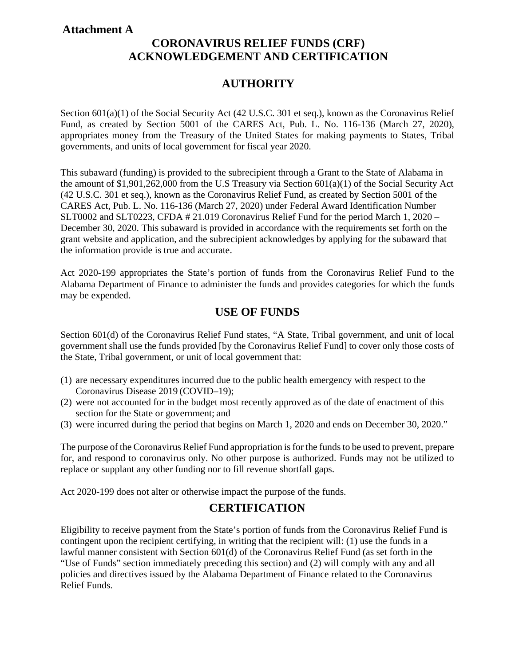#### **Attachment A**

# **CORONAVIRUS RELIEF FUNDS (CRF) ACKNOWLEDGEMENT AND CERTIFICATION**

# **AUTHORITY**

Section 601(a)(1) of the Social Security Act (42 U.S.C. 301 et seq.), known as the Coronavirus Relief Fund, as created by Section 5001 of the CARES Act, Pub. L. No. 116-136 (March 27, 2020), appropriates money from the Treasury of the United States for making payments to States, Tribal governments, and units of local government for fiscal year 2020.

This subaward (funding) is provided to the subrecipient through a Grant to the State of Alabama in the amount of \$1,901,262,000 from the U.S Treasury via Section 601(a)(1) of the Social Security Act (42 U.S.C. 301 et seq.), known as the Coronavirus Relief Fund, as created by Section 5001 of the CARES Act, Pub. L. No. 116-136 (March 27, 2020) under Federal Award Identification Number SLT0002 and SLT0223, CFDA # 21.019 Coronavirus Relief Fund for the period March 1, 2020 – December 30, 2020. This subaward is provided in accordance with the requirements set forth on the grant website and application, and the subrecipient acknowledges by applying for the subaward that the information provide is true and accurate.

Act 2020-199 appropriates the State's portion of funds from the Coronavirus Relief Fund to the Alabama Department of Finance to administer the funds and provides categories for which the funds may be expended.

### **USE OF FUNDS**

Section 601(d) of the Coronavirus Relief Fund states, "A State, Tribal government, and unit of local government shall use the funds provided [by the Coronavirus Relief Fund] to cover only those costs of the State, Tribal government, or unit of local government that:

- (1) are necessary expenditures incurred due to the public health emergency with respect to the Coronavirus Disease 2019 (COVID–19);
- (2) were not accounted for in the budget most recently approved as of the date of enactment of this section for the State or government; and
- (3) were incurred during the period that begins on March 1, 2020 and ends on December 30, 2020."

The purpose of the Coronavirus Relief Fund appropriation is for the funds to be used to prevent, prepare for, and respond to coronavirus only. No other purpose is authorized. Funds may not be utilized to replace or supplant any other funding nor to fill revenue shortfall gaps.

Act 2020-199 does not alter or otherwise impact the purpose of the funds.

### **CERTIFICATION**

Eligibility to receive payment from the State's portion of funds from the Coronavirus Relief Fund is contingent upon the recipient certifying, in writing that the recipient will: (1) use the funds in a lawful manner consistent with Section 601(d) of the Coronavirus Relief Fund (as set forth in the "Use of Funds" section immediately preceding this section) and (2) will comply with any and all policies and directives issued by the Alabama Department of Finance related to the Coronavirus Relief Funds.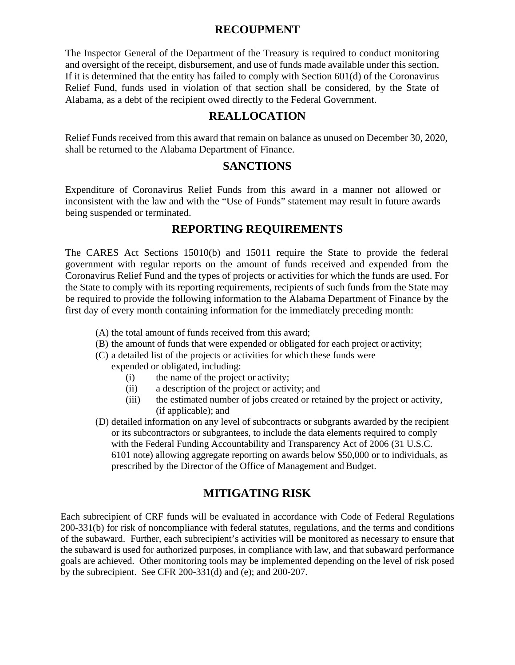### **RECOUPMENT**

The Inspector General of the Department of the Treasury is required to conduct monitoring and oversight of the receipt, disbursement, and use of funds made available under this section. If it is determined that the entity has failed to comply with Section 601(d) of the Coronavirus Relief Fund, funds used in violation of that section shall be considered, by the State of Alabama, as a debt of the recipient owed directly to the Federal Government.

#### **REALLOCATION**

Relief Funds received from this award that remain on balance as unused on December 30, 2020, shall be returned to the Alabama Department of Finance.

#### **SANCTIONS**

Expenditure of Coronavirus Relief Funds from this award in a manner not allowed or inconsistent with the law and with the "Use of Funds" statement may result in future awards being suspended or terminated.

### **REPORTING REQUIREMENTS**

The CARES Act Sections 15010(b) and 15011 require the State to provide the federal government with regular reports on the amount of funds received and expended from the Coronavirus Relief Fund and the types of projects or activities for which the funds are used. For the State to comply with its reporting requirements, recipients of such funds from the State may be required to provide the following information to the Alabama Department of Finance by the first day of every month containing information for the immediately preceding month:

- (A) the total amount of funds received from this award;
- (B) the amount of funds that were expended or obligated for each project or activity;
- (C) a detailed list of the projects or activities for which these funds were
	- expended or obligated, including:
		- (i) the name of the project or activity;
		- (ii) a description of the project or activity; and
		- (iii) the estimated number of jobs created or retained by the project or activity, (if applicable); and
- (D) detailed information on any level of subcontracts or subgrants awarded by the recipient or its subcontractors or subgrantees, to include the data elements required to comply with the Federal Funding Accountability and Transparency Act of 2006 (31 U.S.C. 6101 note) allowing aggregate reporting on awards below \$50,000 or to individuals, as prescribed by the Director of the Office of Management and Budget.

### **MITIGATING RISK**

Each subrecipient of CRF funds will be evaluated in accordance with Code of Federal Regulations 200-331(b) for risk of noncompliance with federal statutes, regulations, and the terms and conditions of the subaward. Further, each subrecipient's activities will be monitored as necessary to ensure that the subaward is used for authorized purposes, in compliance with law, and that subaward performance goals are achieved. Other monitoring tools may be implemented depending on the level of risk posed by the subrecipient. See CFR 200-331(d) and (e); and 200-207.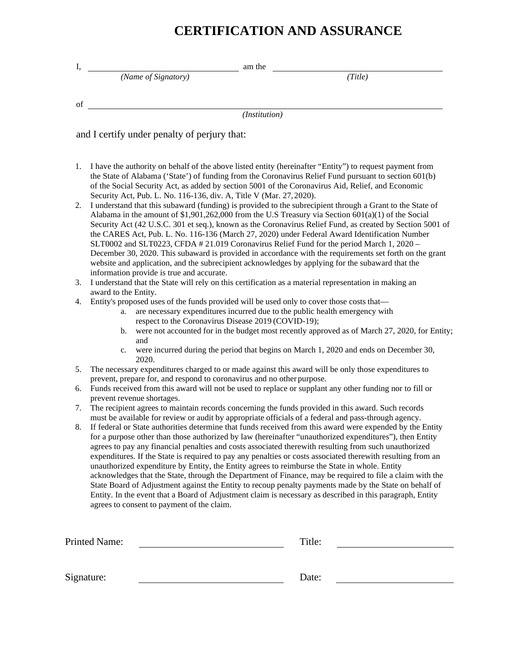# **CERTIFICATION AND ASSURANCE**

| I, | am the                                                                                                                                                                                                                                                                                                                                                                                                                                                                                                                                                                                                                                                                                                                                                                                                                                                                                                                         |  |  |  |  |  |  |
|----|--------------------------------------------------------------------------------------------------------------------------------------------------------------------------------------------------------------------------------------------------------------------------------------------------------------------------------------------------------------------------------------------------------------------------------------------------------------------------------------------------------------------------------------------------------------------------------------------------------------------------------------------------------------------------------------------------------------------------------------------------------------------------------------------------------------------------------------------------------------------------------------------------------------------------------|--|--|--|--|--|--|
|    | (Name of Signatory)<br>(Title)                                                                                                                                                                                                                                                                                                                                                                                                                                                                                                                                                                                                                                                                                                                                                                                                                                                                                                 |  |  |  |  |  |  |
| of |                                                                                                                                                                                                                                                                                                                                                                                                                                                                                                                                                                                                                                                                                                                                                                                                                                                                                                                                |  |  |  |  |  |  |
|    | (Institution)                                                                                                                                                                                                                                                                                                                                                                                                                                                                                                                                                                                                                                                                                                                                                                                                                                                                                                                  |  |  |  |  |  |  |
|    | and I certify under penalty of perjury that:                                                                                                                                                                                                                                                                                                                                                                                                                                                                                                                                                                                                                                                                                                                                                                                                                                                                                   |  |  |  |  |  |  |
|    |                                                                                                                                                                                                                                                                                                                                                                                                                                                                                                                                                                                                                                                                                                                                                                                                                                                                                                                                |  |  |  |  |  |  |
| 1. | I have the authority on behalf of the above listed entity (hereinafter "Entity") to request payment from<br>the State of Alabama ('State') of funding from the Coronavirus Relief Fund pursuant to section 601(b)<br>of the Social Security Act, as added by section 5001 of the Coronavirus Aid, Relief, and Economic                                                                                                                                                                                                                                                                                                                                                                                                                                                                                                                                                                                                         |  |  |  |  |  |  |
| 2. | Security Act, Pub. L. No. 116-136, div. A, Title V (Mar. 27, 2020).<br>I understand that this subaward (funding) is provided to the subrecipient through a Grant to the State of<br>Alabama in the amount of $$1,901,262,000$ from the U.S Treasury via Section $601(a)(1)$ of the Social<br>Security Act (42 U.S.C. 301 et seq.), known as the Coronavirus Relief Fund, as created by Section 5001 of<br>the CARES Act, Pub. L. No. 116-136 (March 27, 2020) under Federal Award Identification Number<br>SLT0002 and SLT0223, CFDA # 21.019 Coronavirus Relief Fund for the period March 1, 2020 -<br>December 30, 2020. This subaward is provided in accordance with the requirements set forth on the grant<br>website and application, and the subrecipient acknowledges by applying for the subaward that the<br>information provide is true and accurate.                                                               |  |  |  |  |  |  |
| 3. | I understand that the State will rely on this certification as a material representation in making an<br>award to the Entity.                                                                                                                                                                                                                                                                                                                                                                                                                                                                                                                                                                                                                                                                                                                                                                                                  |  |  |  |  |  |  |
| 4. | Entity's proposed uses of the funds provided will be used only to cover those costs that—<br>are necessary expenditures incurred due to the public health emergency with<br>a.<br>respect to the Coronavirus Disease 2019 (COVID-19);                                                                                                                                                                                                                                                                                                                                                                                                                                                                                                                                                                                                                                                                                          |  |  |  |  |  |  |
|    | were not accounted for in the budget most recently approved as of March 27, 2020, for Entity;<br>b.<br>and                                                                                                                                                                                                                                                                                                                                                                                                                                                                                                                                                                                                                                                                                                                                                                                                                     |  |  |  |  |  |  |
|    | were incurred during the period that begins on March 1, 2020 and ends on December 30,<br>c.<br>2020.                                                                                                                                                                                                                                                                                                                                                                                                                                                                                                                                                                                                                                                                                                                                                                                                                           |  |  |  |  |  |  |
| 5. | The necessary expenditures charged to or made against this award will be only those expenditures to<br>prevent, prepare for, and respond to coronavirus and no other purpose.                                                                                                                                                                                                                                                                                                                                                                                                                                                                                                                                                                                                                                                                                                                                                  |  |  |  |  |  |  |
| 6. | Funds received from this award will not be used to replace or supplant any other funding nor to fill or<br>prevent revenue shortages.                                                                                                                                                                                                                                                                                                                                                                                                                                                                                                                                                                                                                                                                                                                                                                                          |  |  |  |  |  |  |
| 7. | The recipient agrees to maintain records concerning the funds provided in this award. Such records<br>must be available for review or audit by appropriate officials of a federal and pass-through agency.                                                                                                                                                                                                                                                                                                                                                                                                                                                                                                                                                                                                                                                                                                                     |  |  |  |  |  |  |
| 8. | If federal or State authorities determine that funds received from this award were expended by the Entity<br>for a purpose other than those authorized by law (hereinafter "unauthorized expenditures"), then Entity<br>agrees to pay any financial penalties and costs associated therewith resulting from such unauthorized<br>expenditures. If the State is required to pay any penalties or costs associated therewith resulting from an<br>unauthorized expenditure by Entity, the Entity agrees to reimburse the State in whole. Entity<br>acknowledges that the State, through the Department of Finance, may be required to file a claim with the<br>State Board of Adjustment against the Entity to recoup penalty payments made by the State on behalf of<br>Entity. In the event that a Board of Adjustment claim is necessary as described in this paragraph, Entity<br>agrees to consent to payment of the claim. |  |  |  |  |  |  |

| <b>Printed Name:</b> | Title: |  |  |
|----------------------|--------|--|--|
|                      |        |  |  |
|                      |        |  |  |
| Signature:           | Date:  |  |  |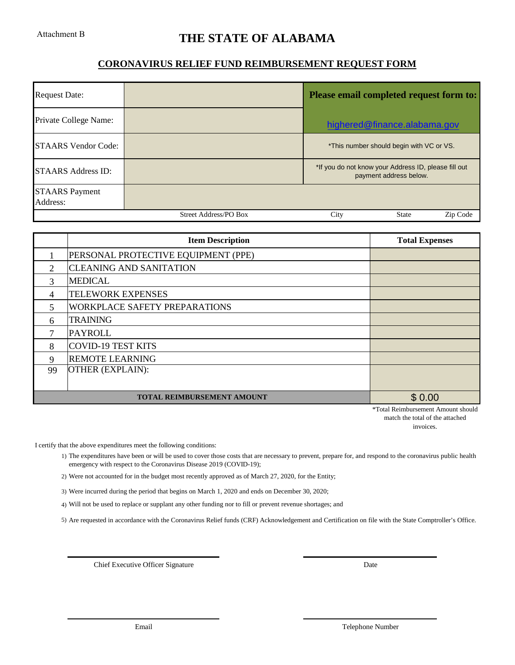# **THE STATE OF ALABAMA**

#### **CORONAVIRUS RELIEF FUND REIMBURSEMENT REQUEST FORM**

| <b>Request Date:</b>              | Please email completed request form to: |                                                                                |  |
|-----------------------------------|-----------------------------------------|--------------------------------------------------------------------------------|--|
| Private College Name:             |                                         | highered@finance.alabama.gov                                                   |  |
| <b>STAARS</b> Vendor Code:        |                                         | *This number should begin with VC or VS.                                       |  |
| <b>STAARS Address ID:</b>         |                                         | *If you do not know your Address ID, please fill out<br>payment address below. |  |
| <b>STAARS</b> Payment<br>Address: |                                         |                                                                                |  |
|                                   | <b>Street Address/PO Box</b>            | City<br><b>State</b><br>Zip Code                                               |  |

|                             | <b>Item Description</b>              | <b>Total Expenses</b> |
|-----------------------------|--------------------------------------|-----------------------|
|                             | PERSONAL PROTECTIVE EQUIPMENT (PPE)  |                       |
| $\mathcal{D}_{\mathcal{L}}$ | <b>CLEANING AND SANITATION</b>       |                       |
| 3                           | <b>MEDICAL</b>                       |                       |
| 4                           | <b>TELEWORK EXPENSES</b>             |                       |
| 5                           | <b>WORKPLACE SAFETY PREPARATIONS</b> |                       |
| 6                           | <b>TRAINING</b>                      |                       |
| 7                           | <b>PAYROLL</b>                       |                       |
| 8                           | <b>COVID-19 TEST KITS</b>            |                       |
| 9                           | <b>REMOTE LEARNING</b>               |                       |
| 99                          | <b>OTHER (EXPLAIN):</b>              |                       |
|                             |                                      |                       |
|                             | <b>TOTAL REIMBURSEMENT AMOUNT</b>    | \$0.00                |

\*Total Reimbursement Amount should match the total of the attached invoices.

I certify that the above expenditures meet the following conditions:

- 1) The expenditures have been or will be used to cover those costs that are necessary to prevent, prepare for, and respond to the coronavirus public health emergency with respect to the Coronavirus Disease 2019 (COVID-19);
- 2) Were not accounted for in the budget most recently approved as of March 27, 2020, for the Entity;
- 3) Were incurred during the period that begins on March 1, 2020 and ends on December 30, 2020;
- 4) Will not be used to replace or supplant any other funding nor to fill or prevent revenue shortages; and

5) Are requested in accordance with the Coronavirus Relief funds (CRF) Acknowledgement and Certification on file with the State Comptroller's Office.

Chief Executive Officer Signature

Date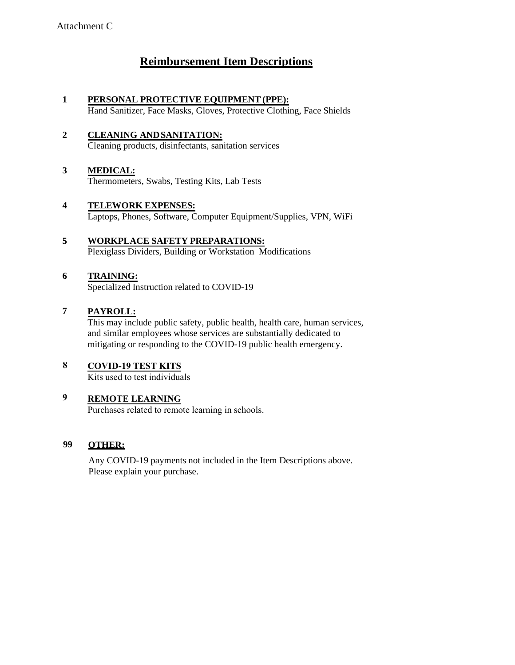# **Reimbursement Item Descriptions**

- **1 PERSONAL PROTECTIVE EQUIPMENT (PPE):** Hand Sanitizer, Face Masks, Gloves, Protective Clothing, Face Shields
- **2 CLEANING ANDSANITATION:** Cleaning products, disinfectants, sanitation services
- **3 MEDICAL:** Thermometers, Swabs, Testing Kits, Lab Tests
- **4 TELEWORK EXPENSES:** Laptops, Phones, Software, Computer Equipment/Supplies, VPN, WiFi
- **5 WORKPLACE SAFETY PREPARATIONS:** Plexiglass Dividers, Building or Workstation Modifications
- **6 TRAINING:** Specialized Instruction related to COVID-19
- **7 PAYROLL:**

This may include public safety, public health, health care, human services, and similar employees whose services are substantially dedicated to mitigating or responding to the COVID-19 public health emergency.

**COVID-19 TEST KITS 8**

Kits used to test individuals

#### **REMOTE LEARNING 9**

Purchases related to remote learning in schools.

#### **99 OTHER:**

Any COVID-19 payments not included in the Item Descriptions above. Please explain your purchase.